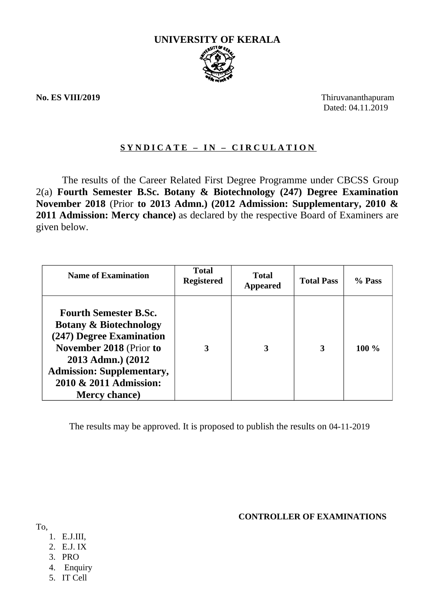

**No. ES VIII/2019** Thiruvananthapuram Dated: 04.11.2019

### **S Y N D I C A T E – I N – C I R C U L A T I O N**

The results of the Career Related First Degree Programme under CBCSS Group 2(a) **Fourth Semester B.Sc. Botany & Biotechnology (247) Degree Examination November 2018** (Prior **to 2013 Admn.) (2012 Admission: Supplementary, 2010 & 2011 Admission: Mercy chance)** as declared by the respective Board of Examiners are given below.

| <b>Name of Examination</b>                                                                                                                                                                                                                 | Total<br><b>Registered</b> | <b>Total</b><br><b>Appeared</b> | <b>Total Pass</b> | % Pass  |
|--------------------------------------------------------------------------------------------------------------------------------------------------------------------------------------------------------------------------------------------|----------------------------|---------------------------------|-------------------|---------|
| <b>Fourth Semester B.Sc.</b><br><b>Botany &amp; Biotechnology</b><br>(247) Degree Examination<br><b>November 2018 (Prior to</b><br>2013 Admn.) (2012<br><b>Admission: Supplementary,</b><br>2010 & 2011 Admission:<br><b>Mercy chance)</b> | 3                          | 3                               | 3                 | $100\%$ |

The results may be approved. It is proposed to publish the results on 04-11-2019

### **CONTROLLER OF EXAMINATIONS**

To,

- 1. E.J.III,
- 2. E.J. IX
- 3. PRO
- 4. Enquiry
- 5. IT Cell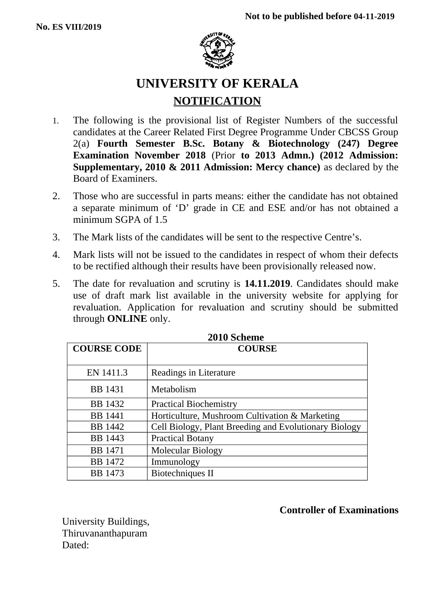

# **UNIVERSITY OF KERALA NOTIFICATION**

- 1. The following is the provisional list of Register Numbers of the successful candidates at the Career Related First Degree Programme Under CBCSS Group 2(a) **Fourth Semester B.Sc. Botany & Biotechnology (247) Degree Examination November 2018** (Prior **to 2013 Admn.) (2012 Admission: Supplementary, 2010 & 2011 Admission: Mercy chance)** as declared by the Board of Examiners.
- 2. Those who are successful in parts means: either the candidate has not obtained a separate minimum of 'D' grade in CE and ESE and/or has not obtained a minimum SGPA of 1.5
- 3. The Mark lists of the candidates will be sent to the respective Centre's.
- 4. Mark lists will not be issued to the candidates in respect of whom their defects to be rectified although their results have been provisionally released now.
- 5. The date for revaluation and scrutiny is **14.11.2019**. Candidates should make use of draft mark list available in the university website for applying for revaluation. Application for revaluation and scrutiny should be submitted through **ONLINE** only.

| EVIV OCHCHIL       |                                                       |  |
|--------------------|-------------------------------------------------------|--|
| <b>COURSE CODE</b> | <b>COURSE</b>                                         |  |
|                    |                                                       |  |
| EN 1411.3          | Readings in Literature                                |  |
| <b>BB</b> 1431     | Metabolism                                            |  |
| <b>BB</b> 1432     | <b>Practical Biochemistry</b>                         |  |
| <b>BB</b> 1441     | Horticulture, Mushroom Cultivation & Marketing        |  |
| <b>BB</b> 1442     | Cell Biology, Plant Breeding and Evolutionary Biology |  |
| <b>BB</b> 1443     | <b>Practical Botany</b>                               |  |
| <b>BB</b> 1471     | Molecular Biology                                     |  |
| <b>BB</b> 1472     | Immunology                                            |  |
| <b>BB</b> 1473     | Biotechniques II                                      |  |

| 2010 Scheme |
|-------------|
|             |

### **Controller of Examinations**

University Buildings, Thiruvananthapuram Dated: